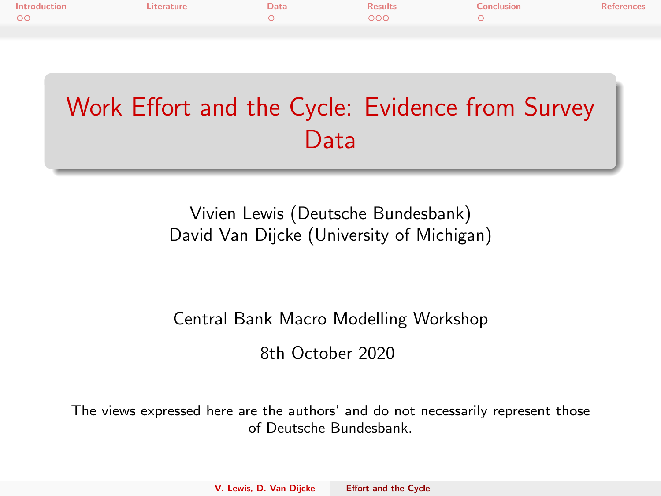<span id="page-0-0"></span>

| Introduction | Literature | Data | <b>Results</b> | Conclusion | <b>References</b> |
|--------------|------------|------|----------------|------------|-------------------|
| $\circ$      |            |      | 000            |            |                   |
|              |            |      |                |            |                   |

# Work Effort and the Cycle: Evidence from Survey Data

Vivien Lewis (Deutsche Bundesbank) David Van Dijcke (University of Michigan)

#### Central Bank Macro Modelling Workshop

8th October 2020

The views expressed here are the authors' and do not necessarily represent those of Deutsche Bundesbank.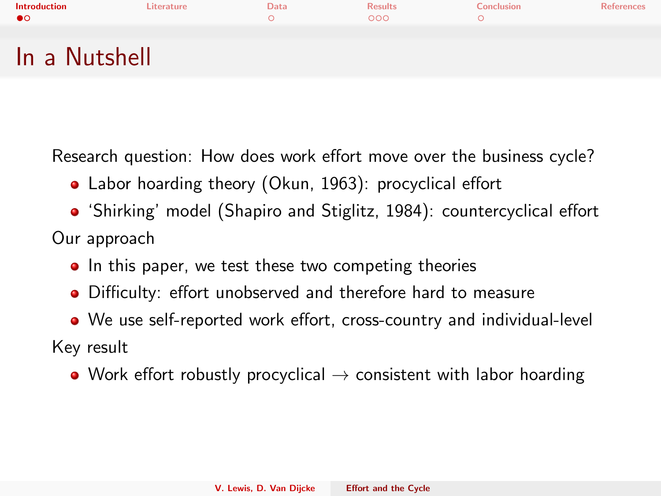<span id="page-1-0"></span>

| <b>Introduction</b> | Literature | Data | <b>Results</b> | Conclusion | <b>References</b> |
|---------------------|------------|------|----------------|------------|-------------------|
| ●○                  |            |      | 000            |            |                   |
|                     |            |      |                |            |                   |
| In a Nutshell       |            |      |                |            |                   |

Research question: How does work effort move over the business cycle?

- Labor hoarding theory [\(Okun, 1963\)](#page-8-1): procyclical effort
- 'Shirking' model [\(Shapiro and Stiglitz, 1984\)](#page-8-2): countercyclical effort Our approach
	- In this paper, we test these two competing theories
	- Difficulty: effort unobserved and therefore hard to measure
	- We use self-reported work effort, cross-country and individual-level

Key result

• Work effort robustly procyclical  $\rightarrow$  consistent with labor hoarding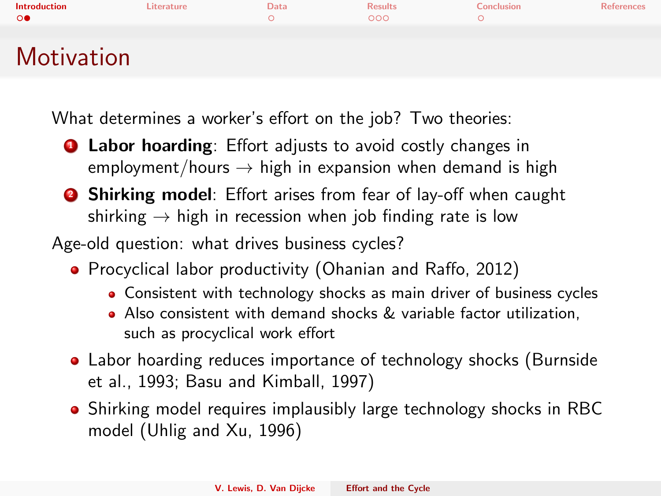| <b>Introduction</b><br>$\circ$ | Literature | Data | <b>Results</b><br>000 | Conclusion | <b>References</b> |
|--------------------------------|------------|------|-----------------------|------------|-------------------|
| <b>Motivation</b>              |            |      |                       |            |                   |

What determines a worker's effort on the job? Two theories:

- **1** Labor hoarding: Effort adjusts to avoid costly changes in employment/hours  $\rightarrow$  high in expansion when demand is high
- **2 Shirking model**: Effort arises from fear of lay-off when caught shirking  $\rightarrow$  high in recession when job finding rate is low

Age-old question: what drives business cycles?

- **•** Procyclical labor productivity [\(Ohanian and Raffo, 2012\)](#page-8-3)
	- Consistent with technology shocks as main driver of business cycles
	- Also consistent with demand shocks & variable factor utilization, such as procyclical work effort
- Labor hoarding reduces importance of technology shocks [\(Burnside](#page-8-4) [et al., 1993;](#page-8-4) [Basu and Kimball, 1997\)](#page-8-5)
- Shirking model requires implausibly large technology shocks in RBC model [\(Uhlig and Xu, 1996\)](#page-8-6)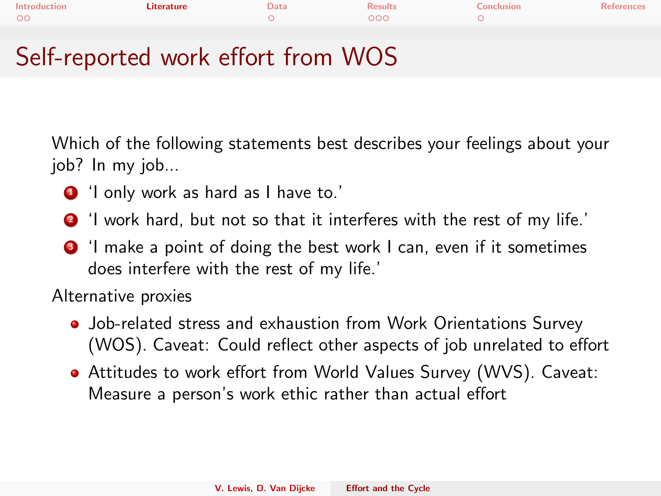<span id="page-3-0"></span>

| Introduction | Literature | Data | <b>Results</b> | Conclusion | <b>References</b> |
|--------------|------------|------|----------------|------------|-------------------|
| $\circ$      |            |      | 000            |            |                   |
|              |            |      |                |            |                   |
|              |            |      |                |            |                   |

### Self-reported work effort from WOS

Which of the following statements best describes your feelings about your job? In my job...

- **1** 'I only work as hard as I have to.'
- <sup>2</sup> 'I work hard, but not so that it interferes with the rest of my life.'
- <sup>3</sup> I make a point of doing the best work I can, even if it sometimes does interfere with the rest of my life.'

Alternative proxies

- Job-related stress and exhaustion from Work Orientations Survey (WOS). Caveat: Could reflect other aspects of job unrelated to effort
- Attitudes to work effort from World Values Survey (WVS). Caveat: Measure a person's work ethic rather than actual effort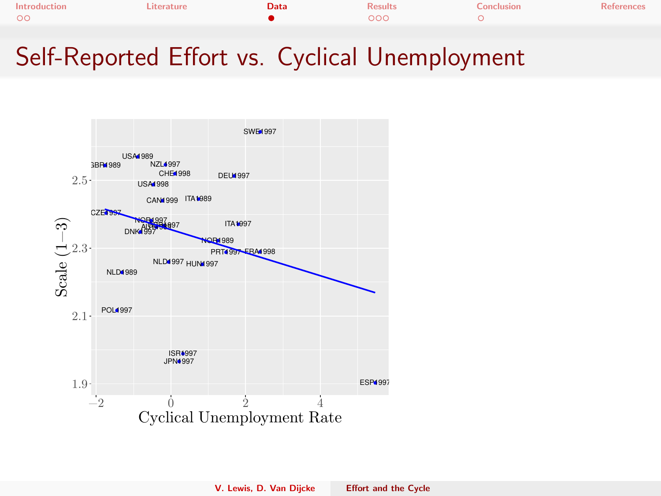<span id="page-4-0"></span>

| Introduction | Literature | Data | <b>Results</b> | Conclusion | References |
|--------------|------------|------|----------------|------------|------------|
| $\circ$      |            |      | 000            |            |            |
|              |            |      |                |            |            |

## Self-Reported Effort vs. Cyclical Unemployment

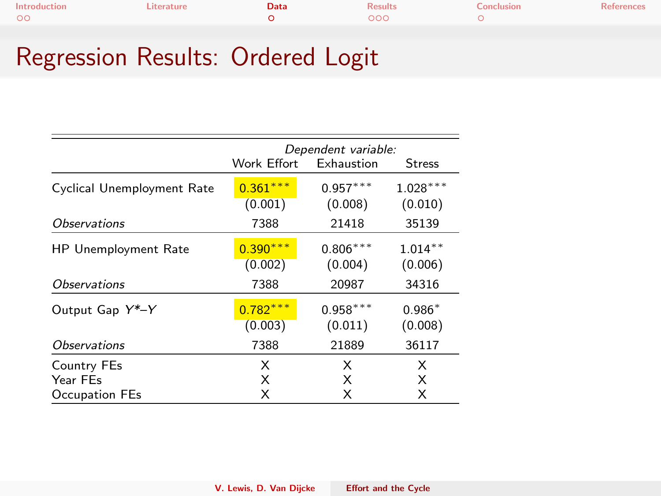| Introduction | Literature | Data | <b>Results</b> | Conclusion | References |
|--------------|------------|------|----------------|------------|------------|
| $\circ$      |            |      | 000            |            |            |
|              |            |      |                |            |            |

## Regression Results: Ordered Logit

|                            | Dependent variable:   |                       |                       |  |  |
|----------------------------|-----------------------|-----------------------|-----------------------|--|--|
|                            | Work Effort           | Exhaustion            | <b>Stress</b>         |  |  |
| Cyclical Unemployment Rate | $0.361***$<br>(0.001) | $0.957***$<br>(0.008) | $1.028***$<br>(0.010) |  |  |
| <i><b>Observations</b></i> | 7388                  | 21418                 | 35139                 |  |  |
| HP Unemployment Rate       | $0.390***$<br>(0.002) | $0.806***$<br>(0.004) | $1.014**$<br>(0.006)  |  |  |
| <i><b>Observations</b></i> | 7388                  | 20987                 | 34316                 |  |  |
| Output Gap Y*-Y            | $0.782***$<br>(0.003) | $0.958***$<br>(0.011) | $0.986*$<br>(0.008)   |  |  |
| <i><b>Observations</b></i> | 7388                  | 21889                 | 36117                 |  |  |
| Country FEs<br>Year FEs    | X<br>X                | X<br>X                | X<br>X                |  |  |
| Occupation FEs             | X                     | X                     | X                     |  |  |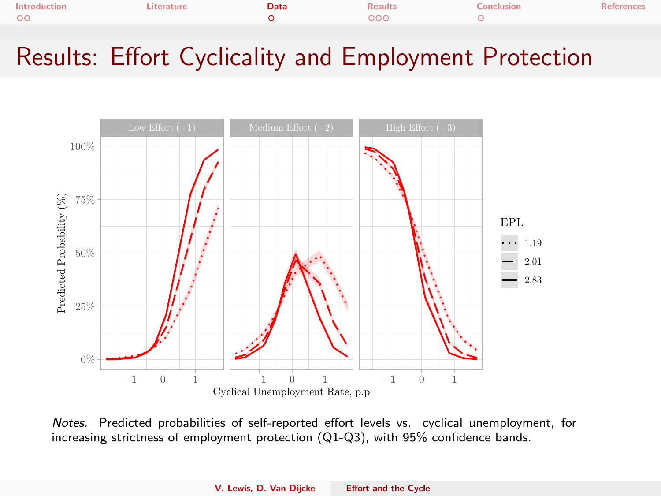| Introduction | Literature | Data | <b>Results</b> | Conclusion | <b>References</b> |
|--------------|------------|------|----------------|------------|-------------------|
| $\circ$      |            |      | 000            |            |                   |
|              |            |      |                |            |                   |

## Results: Effort Cyclicality and Employment Protection



Notes. Predicted probabilities of self-reported effort levels vs. cyclical unemployment, for increasing strictness of employment protection (Q1-Q3), with 95% confidence bands.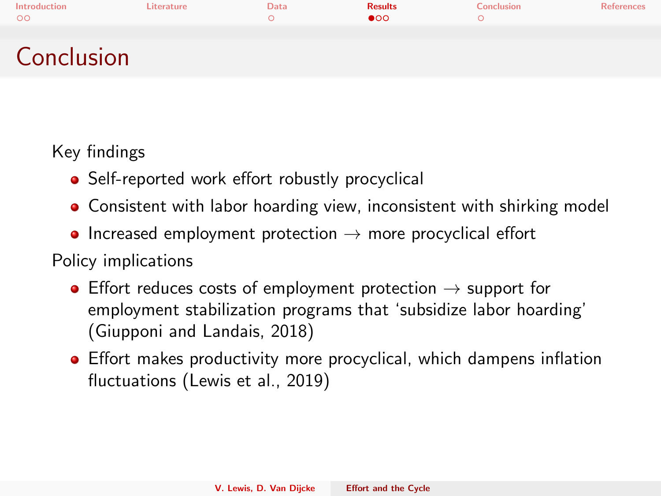<span id="page-7-0"></span>

| Introduction<br>$\circ$ | Literature | Data | <b>Results</b><br>$\bullet$ 00 | Conclusion | References |
|-------------------------|------------|------|--------------------------------|------------|------------|
|                         |            |      |                                |            |            |
| Conclusion              |            |      |                                |            |            |

Key findings

- Self-reported work effort robustly procyclical
- Consistent with labor hoarding view, inconsistent with shirking model
- Increased employment protection  $\rightarrow$  more procyclical effort

Policy implications

- Effort reduces costs of employment protection  $\rightarrow$  support for employment stabilization programs that 'subsidize labor hoarding' [\(Giupponi and Landais, 2018\)](#page-8-7)
- Effort makes productivity more procyclical, which dampens inflation fluctuations [\(Lewis et al., 2019\)](#page-8-8)